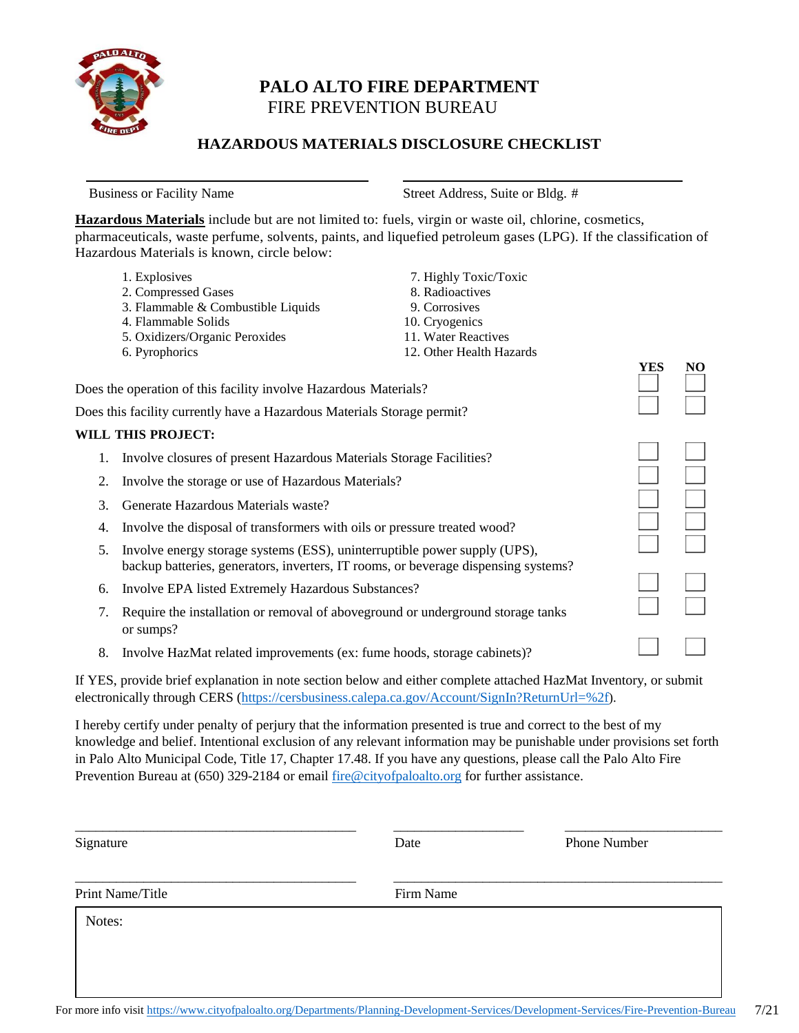

# **PALO ALTO FIRE DEPARTMENT** FIRE PREVENTION BUREAU

## **HAZARDOUS MATERIALS DISCLOSURE CHECKLIST**

Business or Facility Name Street Address, Suite or Bldg. #

**Hazardous Materials** include but are not limited to: fuels, virgin or waste oil, chlorine, cosmetics, pharmaceuticals, waste perfume, solvents, paints, and liquefied petroleum gases (LPG). If the classification of Hazardous Materials is known, circle below:

|    | 1. Explosives                                                                                                                                                   | 7. Highly Toxic/Toxic    |     |     |
|----|-----------------------------------------------------------------------------------------------------------------------------------------------------------------|--------------------------|-----|-----|
|    | 2. Compressed Gases                                                                                                                                             | 8. Radioactives          |     |     |
|    | 3. Flammable & Combustible Liquids                                                                                                                              | 9. Corrosives            |     |     |
|    | 4. Flammable Solids                                                                                                                                             | 10. Cryogenics           |     |     |
|    | 5. Oxidizers/Organic Peroxides                                                                                                                                  | 11. Water Reactives      |     |     |
|    | 6. Pyrophorics                                                                                                                                                  | 12. Other Health Hazards |     |     |
|    |                                                                                                                                                                 |                          | YES | NO. |
|    | Does the operation of this facility involve Hazardous Materials?                                                                                                |                          |     |     |
|    | Does this facility currently have a Hazardous Materials Storage permit?                                                                                         |                          |     |     |
|    | <b>WILL THIS PROJECT:</b>                                                                                                                                       |                          |     |     |
| Ι. | Involve closures of present Hazardous Materials Storage Facilities?                                                                                             |                          |     |     |
| 2. | Involve the storage or use of Hazardous Materials?                                                                                                              |                          |     |     |
| 3. | Generate Hazardous Materials waste?                                                                                                                             |                          |     |     |
| 4. | Involve the disposal of transformers with oils or pressure treated wood?                                                                                        |                          |     |     |
| 5. | Involve energy storage systems (ESS), uninterruptible power supply (UPS),<br>backup batteries, generators, inverters, IT rooms, or beverage dispensing systems? |                          |     |     |
| 6. | Involve EPA listed Extremely Hazardous Substances?                                                                                                              |                          |     |     |
| 7. | Require the installation or removal of above ground or underground storage tanks<br>or sumps?                                                                   |                          |     |     |
| 8. | Involve HazMat related improvements (ex: fume hoods, storage cabinets)?                                                                                         |                          |     |     |
|    |                                                                                                                                                                 |                          |     |     |

If YES, provide brief explanation in note section below and either complete attached HazMat Inventory, or submit electronically through CERS [\(https://cersbusiness.calepa.ca.gov/Account/SignIn?ReturnUrl=%2f](https://cersbusiness.calepa.ca.gov/Account/SignIn?ReturnUrl=%2f)).

I hereby certify under penalty of perjury that the information presented is true and correct to the best of my knowledge and belief. Intentional exclusion of any relevant information may be punishable under provisions set forth in Palo Alto Municipal Code, Title 17, Chapter 17.48. If you have any questions, please call the Palo Alto Fire Prevention Bureau at (650) 329-2184 or email [fire@cityofpaloalto.org](mailto:fire@cityofpaloalto.org) for further assistance.

| Print Name/Title | Firm Name |  |
|------------------|-----------|--|
| Notes:           |           |  |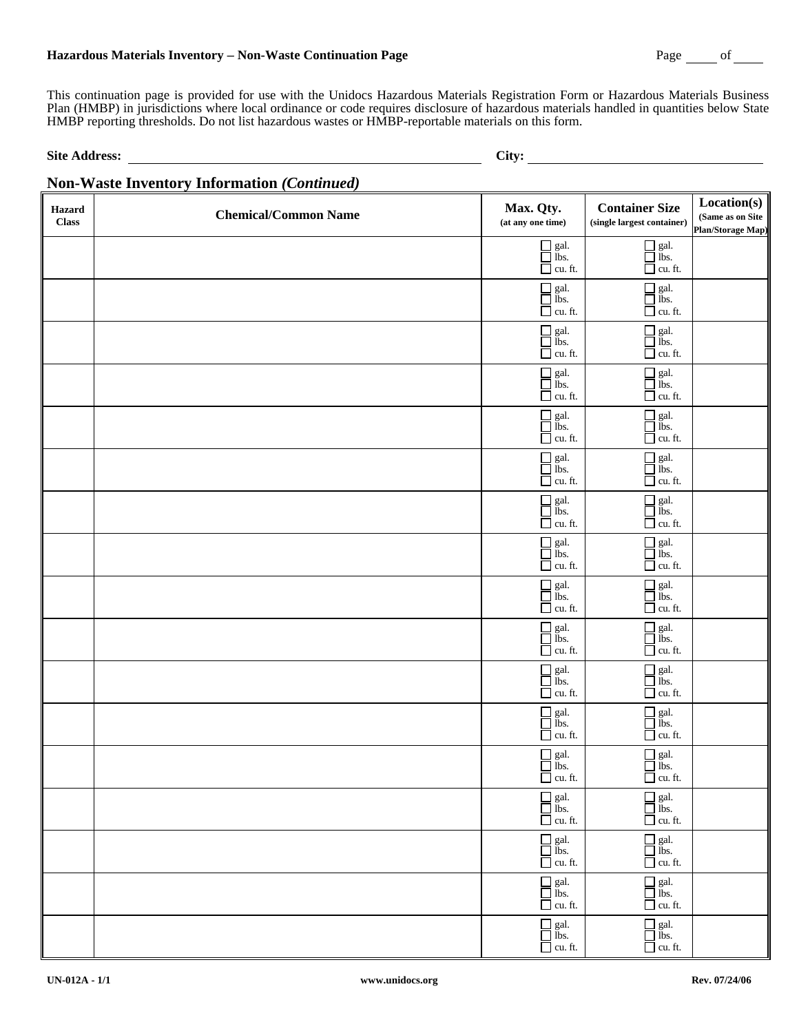### **Hazardous Materials Inventory** − **Non-Waste Continuation Page** Page of

This continuation page is provided for use with the Unidocs Hazardous Materials Registration Form or Hazardous Materials Business Plan (HMBP) in jurisdictions where local ordinance or code requires disclosure of hazardous materials handled in quantities below State HMBP reporting thresholds. Do not list hazardous wastes or HMBP-reportable materials on this form.

Site Address: City:

#### **Non-Waste Inventory Information** *(Continued)*  **Hazard Class Chemical/Common Name Max. Qty. (at any one time) Container Size (single largest container) Location(s) (Same as on Site Plan/Storage Map)**  $\Box$  gal.  $\Box$  gal.  $\Box$  ibs. cu. ft.  $\Box$  gal. cu. ft.  $\Box$  gal.  $\Box$  gal.  $\Box$  gal.<br> $\Box$  lbs.  $\overline{\Box}$  cu. ft.  $\Box$  gal. cu. ft.  $\Box$  gal.  $\Box$  gal.  $\Box$  gal.<br> $\Box$  lbs.  $\Box$  cu. ft.  $\Box$  gal.  $\Box$  cu. ft.  $\Box$  gal.  $\Box$  gal.  $\Box$  gal.<br> $\Box$  ibs.  $\overline{\Box}$  cu. ft.  $\Box$  gal. cu. ft.  $\Box$  gal. lessellessellessellessellessellessellessellessellessellessellessellessellessellessellessellessellessellesselle<br>Legislations<br>des sons des sons des sons des sons des sons des sons de la son de la son de la son de la son de<br>s  $\Box$  cu. ft.  $\Box$  gal.  $\Box$  cu. ft.  $\Box$  gal.  $\Box$  gal.  $\Box$  ibs. cu. ft.  $\Box$  gal. cu. ft.  $\Box$  gal.  $\Box$  gal.  $\Box$  lbs. cu. ft.  $\Box$  gal. cu. ft.  $\Box$  gal.  $\Box$  gal.  $\Box$  gal.<br> $\Box$  lbs.  $\overline{\Box}$  cu. ft.  $\Box$  gal.  $\Box$  cu. ft.  $\Box$  gal.  $\Box$  gal.  $\Box$  gal.<br> $\Box$  lbs.  $\overline{\Box}$  cu. ft.  $\Box$  gal.  $\Box$  cu. ft.  $\Box$  gal.  $\Box$  gal.  $\Box$  ibs. cu. ft.  $\Box$  gal.  $\overline{\Box}$  cu. ft.  $\Box$  gal.  $\Box$  gal.  $\Box$  gal.<br> $\Box$  ibs.  $\overline{\Box}$  cu. ft.  $\Box$  gal.  $\Box$  cu. ft.  $\Box$  gal.  $\Box$  ibs. cu. ft.  $\Box$  gal. cu. ft.  $\Box$  gal.  $\Box$  gal.  $\Box$  gal.  $\Box$  cu. ft.  $\Box$  gal. cu. ft.  $\Box$  gal.  $\Box$  gal.  $\Box$  gal.<br> $\Box$  lbs.  $\overline{\Box}$  cu. ft.  $\Box$  gal. cu. ft.  $\Box$  gal.  $\Box$  gal.  $\Box$  ibs. cu. ft.  $\Box$  gal. cu. ft.  $\Box$  gal.  $\Box$  gal.  $\Box$  gal.<br> $\Box$  lbs.  $\Box$  gal.

 $\Box$  cu. ft.

 $\Box$  cu. ft.

 $\Box$  gal.

 $\Box$  gal.  $\Box$  gal.

 $\Box$  cu. ft.

 $\Box$  gal.<br> $\Box$  lbs.  $\Box$  cu. ft.